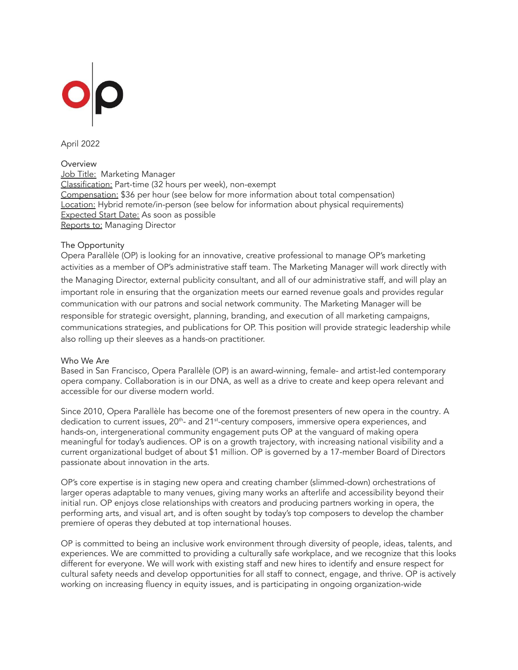

April 2022

# Overview

Job Title: Marketing Manager Classification: Part-time (32 hours per week), non-exempt Compensation: \$36 per hour (see below for more information about total compensation) Location: Hybrid remote/in-person (see below for information about physical requirements) Expected Start Date: As soon as possible Reports to: Managing Director

#### The Opportunity

Opera Parallèle (OP) is looking for an innovative, creative professional to manage OP's marketing activities as a member of OP's administrative staff team. The Marketing Manager will work directly with the Managing Director, external publicity consultant, and all of our administrative staff, and will play an important role in ensuring that the organization meets our earned revenue goals and provides regular communication with our patrons and social network community. The Marketing Manager will be responsible for strategic oversight, planning, branding, and execution of all marketing campaigns, communications strategies, and publications for OP. This position will provide strategic leadership while also rolling up their sleeves as a hands-on practitioner.

#### Who We Are

Based in San Francisco, Opera Parallèle (OP) is an award-winning, female- and artist-led contemporary opera company. Collaboration is in our DNA, as well as a drive to create and keep opera relevant and accessible for our diverse modern world.

Since 2010, Opera Parallèle has become one of the foremost presenters of new opera in the country. A dedication to current issues, 20<sup>th</sup>- and 21<sup>st</sup>-century composers, immersive opera experiences, and hands-on, intergenerational community engagement puts OP at the vanguard of making opera meaningful for today's audiences. OP is on a growth trajectory, with increasing national visibility and a current organizational budget of about \$1 million. OP is governed by a 17-member Board of Directors passionate about innovation in the arts.

OP's core expertise is in staging new opera and creating chamber (slimmed-down) orchestrations of larger operas adaptable to many venues, giving many works an afterlife and accessibility beyond their initial run. OP enjoys close relationships with creators and producing partners working in opera, the performing arts, and visual art, and is often sought by today's top composers to develop the chamber premiere of operas they debuted at top international houses.

OP is committed to being an inclusive work environment through diversity of people, ideas, talents, and experiences. We are committed to providing a culturally safe workplace, and we recognize that this looks different for everyone. We will work with existing staff and new hires to identify and ensure respect for cultural safety needs and develop opportunities for all staff to connect, engage, and thrive. OP is actively working on increasing fluency in equity issues, and is participating in ongoing organization-wide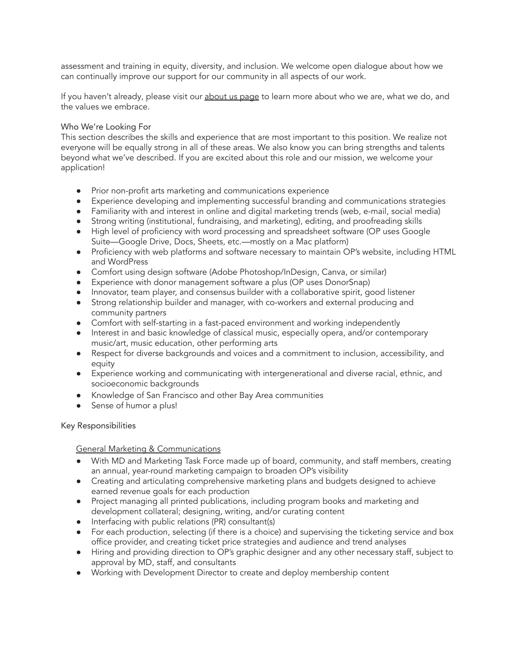assessment and training in equity, diversity, and inclusion. We welcome open dialogue about how we can continually improve our support for our community in all aspects of our work.

If you haven't already, please visit our [about](https://operaparallele.org/about-us/) us page to learn more about who we are, what we do, and the values we embrace.

### Who We're Looking For

This section describes the skills and experience that are most important to this position. We realize not everyone will be equally strong in all of these areas. We also know you can bring strengths and talents beyond what we've described. If you are excited about this role and our mission, we welcome your application!

- Prior non-profit arts marketing and communications experience
- Experience developing and implementing successful branding and communications strategies
- Familiarity with and interest in online and digital marketing trends (web, e-mail, social media)
- Strong writing (institutional, fundraising, and marketing), editing, and proofreading skills
- High level of proficiency with word processing and spreadsheet software (OP uses Google Suite—Google Drive, Docs, Sheets, etc.—mostly on a Mac platform)
- Proficiency with web platforms and software necessary to maintain OP's website, including HTML and WordPress
- Comfort using design software (Adobe Photoshop/InDesign, Canva, or similar)
- Experience with donor management software a plus (OP uses DonorSnap)
- Innovator, team player, and consensus builder with a collaborative spirit, good listener
- Strong relationship builder and manager, with co-workers and external producing and community partners
- Comfort with self-starting in a fast-paced environment and working independently
- Interest in and basic knowledge of classical music, especially opera, and/or contemporary music/art, music education, other performing arts
- Respect for diverse backgrounds and voices and a commitment to inclusion, accessibility, and equity
- Experience working and communicating with intergenerational and diverse racial, ethnic, and socioeconomic backgrounds
- Knowledge of San Francisco and other Bay Area communities
- Sense of humor a plus!

#### Key Responsibilities

# General Marketing & Communications

- With MD and Marketing Task Force made up of board, community, and staff members, creating an annual, year-round marketing campaign to broaden OP's visibility
- Creating and articulating comprehensive marketing plans and budgets designed to achieve earned revenue goals for each production
- Project managing all printed publications, including program books and marketing and development collateral; designing, writing, and/or curating content
- Interfacing with public relations (PR) consultant(s)
- For each production, selecting (if there is a choice) and supervising the ticketing service and box office provider, and creating ticket price strategies and audience and trend analyses
- Hiring and providing direction to OP's graphic designer and any other necessary staff, subject to approval by MD, staff, and consultants
- Working with Development Director to create and deploy membership content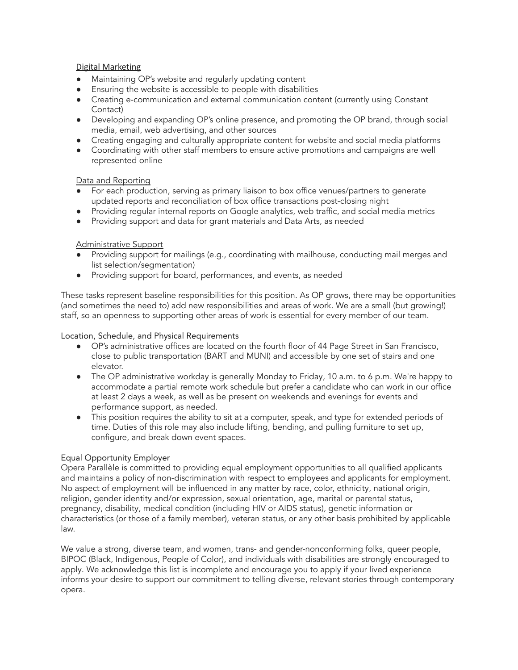# Digital Marketing

- Maintaining OP's website and regularly updating content
- Ensuring the website is accessible to people with disabilities
- Creating e-communication and external communication content (currently using Constant Contact)
- Developing and expanding OP's online presence, and promoting the OP brand, through social media, email, web advertising, and other sources
- Creating engaging and culturally appropriate content for website and social media platforms
- Coordinating with other staff members to ensure active promotions and campaigns are well represented online

# Data and Reporting

- For each production, serving as primary liaison to box office venues/partners to generate updated reports and reconciliation of box office transactions post-closing night
- Providing regular internal reports on Google analytics, web traffic, and social media metrics
- Providing support and data for grant materials and Data Arts, as needed

# Administrative Support

- Providing support for mailings (e.g., coordinating with mailhouse, conducting mail merges and list selection/segmentation)
- Providing support for board, performances, and events, as needed

These tasks represent baseline responsibilities for this position. As OP grows, there may be opportunities (and sometimes the need to) add new responsibilities and areas of work. We are a small (but growing!) staff, so an openness to supporting other areas of work is essential for every member of our team.

Location, Schedule, and Physical Requirements

- OP's administrative offices are located on the fourth floor of 44 Page Street in San Francisco, close to public transportation (BART and MUNI) and accessible by one set of stairs and one elevator.
- The OP administrative workday is generally Monday to Friday, 10 a.m. to 6 p.m. We're happy to accommodate a partial remote work schedule but prefer a candidate who can work in our office at least 2 days a week, as well as be present on weekends and evenings for events and performance support, as needed.
- This position requires the ability to sit at a computer, speak, and type for extended periods of time. Duties of this role may also include lifting, bending, and pulling furniture to set up, configure, and break down event spaces.

# Equal Opportunity Employer

Opera Parallèle is committed to providing equal employment opportunities to all qualified applicants and maintains a policy of non-discrimination with respect to employees and applicants for employment. No aspect of employment will be influenced in any matter by race, color, ethnicity, national origin, religion, gender identity and/or expression, sexual orientation, age, marital or parental status, pregnancy, disability, medical condition (including HIV or AIDS status), genetic information or characteristics (or those of a family member), veteran status, or any other basis prohibited by applicable law.

We value a strong, diverse team, and women, trans- and gender-nonconforming folks, queer people, BIPOC (Black, Indigenous, People of Color), and individuals with disabilities are strongly encouraged to apply. We acknowledge this list is incomplete and encourage you to apply if your lived experience informs your desire to support our commitment to telling diverse, relevant stories through contemporary opera.